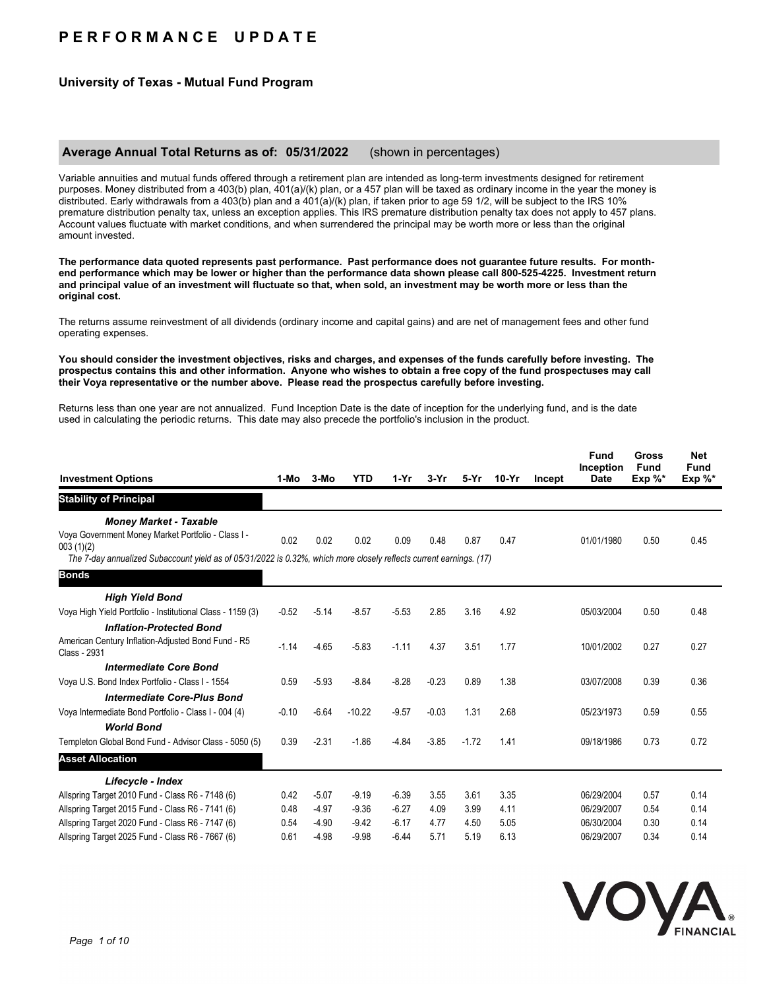# **P E R F O R M A N C E U P D A T E**

## **University of Texas - Mutual Fund Program**

### **Average Annual Total Returns as of: 05/31/2022** (shown in percentages)

Variable annuities and mutual funds offered through a retirement plan are intended as long-term investments designed for retirement purposes. Money distributed from a 403(b) plan, 401(a)/(k) plan, or a 457 plan will be taxed as ordinary income in the year the money is distributed. Early withdrawals from a 403(b) plan and a 401(a)/(k) plan, if taken prior to age 59 1/2, will be subject to the IRS 10% premature distribution penalty tax, unless an exception applies. This IRS premature distribution penalty tax does not apply to 457 plans. Account values fluctuate with market conditions, and when surrendered the principal may be worth more or less than the original amount invested.

**The performance data quoted represents past performance. Past performance does not guarantee future results. For monthend performance which may be lower or higher than the performance data shown please call 800-525-4225. Investment return and principal value of an investment will fluctuate so that, when sold, an investment may be worth more or less than the original cost.**

The returns assume reinvestment of all dividends (ordinary income and capital gains) and are net of management fees and other fund operating expenses.

#### **You should consider the investment objectives, risks and charges, and expenses of the funds carefully before investing. The prospectus contains this and other information. Anyone who wishes to obtain a free copy of the fund prospectuses may call their Voya representative or the number above. Please read the prospectus carefully before investing.**

Returns less than one year are not annualized. Fund Inception Date is the date of inception for the underlying fund, and is the date used in calculating the periodic returns. This date may also precede the portfolio's inclusion in the product.

| <b>Investment Options</b>                                                                                                                                                                                               | 1-Mo                         | 3-Mo                                     | <b>YTD</b>                               | $1-Yr$                                   | $3-Yr$                       | 5-Yr                         | $10-Yr$                      | Incept | <b>Fund</b><br>Inception<br><b>Date</b>              | Gross<br><b>Fund</b><br>$Exp \%^*$ | <b>Net</b><br><b>Fund</b><br>$Exp \%^*$ |
|-------------------------------------------------------------------------------------------------------------------------------------------------------------------------------------------------------------------------|------------------------------|------------------------------------------|------------------------------------------|------------------------------------------|------------------------------|------------------------------|------------------------------|--------|------------------------------------------------------|------------------------------------|-----------------------------------------|
| <b>Stability of Principal</b>                                                                                                                                                                                           |                              |                                          |                                          |                                          |                              |                              |                              |        |                                                      |                                    |                                         |
| <b>Money Market - Taxable</b><br>Voya Government Money Market Portfolio - Class I -<br>003(1)(2)<br>The 7-day annualized Subaccount yield as of 05/31/2022 is 0.32%, which more closely reflects current earnings. (17) | 0.02                         | 0.02                                     | 0.02                                     | 0.09                                     | 0.48                         | 0.87                         | 0.47                         |        | 01/01/1980                                           | 0.50                               | 0.45                                    |
| <b>Bonds</b>                                                                                                                                                                                                            |                              |                                          |                                          |                                          |                              |                              |                              |        |                                                      |                                    |                                         |
| <b>High Yield Bond</b><br>Voya High Yield Portfolio - Institutional Class - 1159 (3)                                                                                                                                    | $-0.52$                      | $-5.14$                                  | $-8.57$                                  | $-5.53$                                  | 2.85                         | 3.16                         | 4.92                         |        | 05/03/2004                                           | 0.50                               | 0.48                                    |
| <b>Inflation-Protected Bond</b><br>American Century Inflation-Adjusted Bond Fund - R5<br>Class - 2931                                                                                                                   | $-1.14$                      | $-4.65$                                  | $-5.83$                                  | $-1.11$                                  | 4.37                         | 3.51                         | 1.77                         |        | 10/01/2002                                           | 0.27                               | 0.27                                    |
| <b>Intermediate Core Bond</b><br>Voya U.S. Bond Index Portfolio - Class I - 1554                                                                                                                                        | 0.59                         | $-5.93$                                  | $-8.84$                                  | $-8.28$                                  | $-0.23$                      | 0.89                         | 1.38                         |        | 03/07/2008                                           | 0.39                               | 0.36                                    |
| <b>Intermediate Core-Plus Bond</b><br>Voya Intermediate Bond Portfolio - Class I - 004 (4)                                                                                                                              | $-0.10$                      | $-6.64$                                  | $-10.22$                                 | $-9.57$                                  | $-0.03$                      | 1.31                         | 2.68                         |        | 05/23/1973                                           | 0.59                               | 0.55                                    |
| <b>World Bond</b><br>Templeton Global Bond Fund - Advisor Class - 5050 (5)                                                                                                                                              | 0.39                         | $-2.31$                                  | $-1.86$                                  | $-4.84$                                  | $-3.85$                      | $-1.72$                      | 1.41                         |        | 09/18/1986                                           | 0.73                               | 0.72                                    |
| <b>Asset Allocation</b>                                                                                                                                                                                                 |                              |                                          |                                          |                                          |                              |                              |                              |        |                                                      |                                    |                                         |
| Lifecycle - Index                                                                                                                                                                                                       |                              |                                          |                                          |                                          |                              |                              |                              |        |                                                      |                                    |                                         |
| Allspring Target 2010 Fund - Class R6 - 7148 (6)<br>Allspring Target 2015 Fund - Class R6 - 7141 (6)<br>Allspring Target 2020 Fund - Class R6 - 7147 (6)<br>Allspring Target 2025 Fund - Class R6 - 7667 (6)            | 0.42<br>0.48<br>0.54<br>0.61 | $-5.07$<br>$-4.97$<br>$-4.90$<br>$-4.98$ | $-9.19$<br>$-9.36$<br>$-9.42$<br>$-9.98$ | $-6.39$<br>$-6.27$<br>$-6.17$<br>$-6.44$ | 3.55<br>4.09<br>4.77<br>5.71 | 3.61<br>3.99<br>4.50<br>5.19 | 3.35<br>4.11<br>5.05<br>6.13 |        | 06/29/2004<br>06/29/2007<br>06/30/2004<br>06/29/2007 | 0.57<br>0.54<br>0.30<br>0.34       | 0.14<br>0.14<br>0.14<br>0.14            |
|                                                                                                                                                                                                                         |                              |                                          |                                          |                                          |                              |                              |                              |        |                                                      |                                    |                                         |

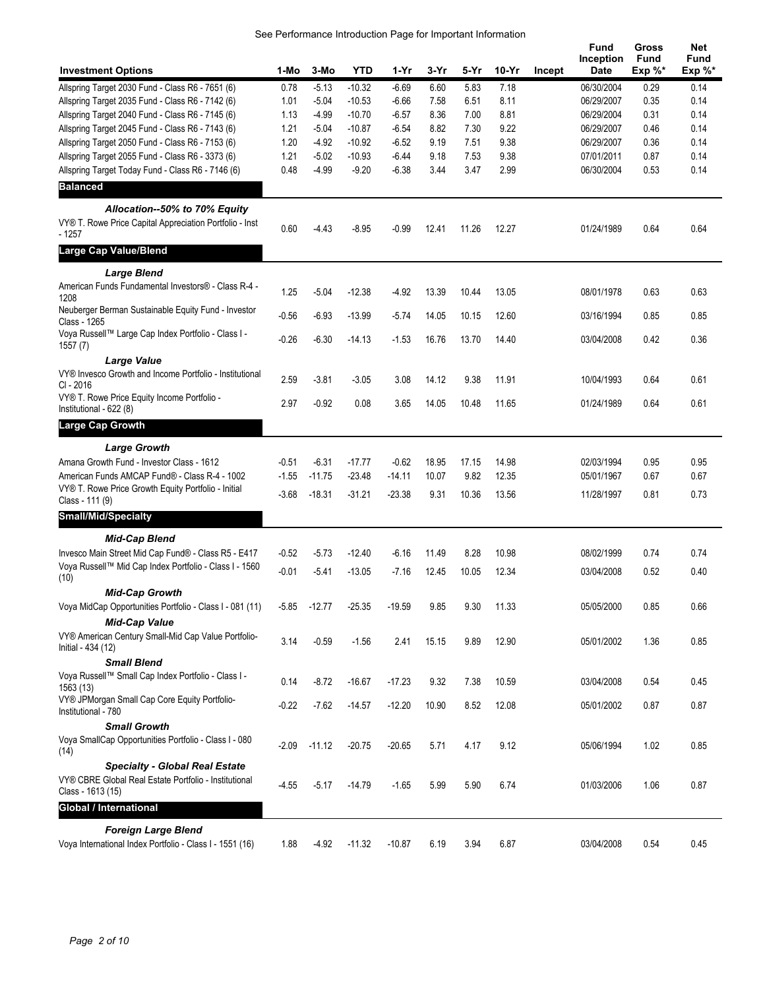|                                                                                                |         |          |            |          |       |       |       |        | Fund              | Gross                    | Net                |
|------------------------------------------------------------------------------------------------|---------|----------|------------|----------|-------|-------|-------|--------|-------------------|--------------------------|--------------------|
| <b>Investment Options</b>                                                                      | 1-Mo    | 3-Mo     | <b>YTD</b> | 1-Yr     | 3-Yr  | 5-Yr  | 10-Yr | Incept | Inception<br>Date | <b>Fund</b><br>Exp $%^*$ | Fund<br>Exp $\%^*$ |
| Allspring Target 2030 Fund - Class R6 - 7651 (6)                                               | 0.78    | $-5.13$  | $-10.32$   | $-6.69$  | 6.60  | 5.83  | 7.18  |        | 06/30/2004        | 0.29                     | 0.14               |
| Allspring Target 2035 Fund - Class R6 - 7142 (6)                                               | 1.01    | $-5.04$  | $-10.53$   | $-6.66$  | 7.58  | 6.51  | 8.11  |        | 06/29/2007        | 0.35                     | 0.14               |
| Allspring Target 2040 Fund - Class R6 - 7145 (6)                                               | 1.13    | $-4.99$  | $-10.70$   | $-6.57$  | 8.36  | 7.00  | 8.81  |        | 06/29/2004        | 0.31                     | 0.14               |
| Allspring Target 2045 Fund - Class R6 - 7143 (6)                                               | 1.21    | $-5.04$  | $-10.87$   | $-6.54$  | 8.82  | 7.30  | 9.22  |        | 06/29/2007        | 0.46                     | 0.14               |
| Allspring Target 2050 Fund - Class R6 - 7153 (6)                                               | 1.20    | $-4.92$  | $-10.92$   | $-6.52$  | 9.19  | 7.51  | 9.38  |        | 06/29/2007        | 0.36                     | 0.14               |
| Allspring Target 2055 Fund - Class R6 - 3373 (6)                                               | 1.21    | $-5.02$  | $-10.93$   | $-6.44$  | 9.18  | 7.53  | 9.38  |        | 07/01/2011        | 0.87                     | 0.14               |
| Allspring Target Today Fund - Class R6 - 7146 (6)                                              | 0.48    | $-4.99$  | $-9.20$    | $-6.38$  | 3.44  | 3.47  | 2.99  |        | 06/30/2004        | 0.53                     | 0.14               |
| <b>Balanced</b>                                                                                |         |          |            |          |       |       |       |        |                   |                          |                    |
|                                                                                                |         |          |            |          |       |       |       |        |                   |                          |                    |
| Allocation--50% to 70% Equity<br>VY® T. Rowe Price Capital Appreciation Portfolio - Inst       |         |          |            |          |       |       |       |        |                   |                          |                    |
| $-1257$                                                                                        | 0.60    | $-4.43$  | $-8.95$    | $-0.99$  | 12.41 | 11.26 | 12.27 |        | 01/24/1989        | 0.64                     | 0.64               |
| <b>Large Cap Value/Blend</b>                                                                   |         |          |            |          |       |       |       |        |                   |                          |                    |
| <b>Large Blend</b>                                                                             |         |          |            |          |       |       |       |        |                   |                          |                    |
| American Funds Fundamental Investors® - Class R-4 -                                            | 1.25    | $-5.04$  | $-12.38$   | $-4.92$  | 13.39 | 10.44 | 13.05 |        | 08/01/1978        | 0.63                     | 0.63               |
| 1208                                                                                           |         |          |            |          |       |       |       |        |                   |                          |                    |
| Neuberger Berman Sustainable Equity Fund - Investor<br>Class - 1265                            | $-0.56$ | $-6.93$  | $-13.99$   | $-5.74$  | 14.05 | 10.15 | 12.60 |        | 03/16/1994        | 0.85                     | 0.85               |
| Voya Russell™ Large Cap Index Portfolio - Class I -                                            | $-0.26$ |          |            |          |       |       |       |        |                   |                          | 0.36               |
| 1557(7)                                                                                        |         | $-6.30$  | $-14.13$   | $-1.53$  | 16.76 | 13.70 | 14.40 |        | 03/04/2008        | 0.42                     |                    |
| <b>Large Value</b>                                                                             |         |          |            |          |       |       |       |        |                   |                          |                    |
| VY® Invesco Growth and Income Portfolio - Institutional                                        | 2.59    | $-3.81$  | $-3.05$    | 3.08     | 14.12 | 9.38  | 11.91 |        | 10/04/1993        | 0.64                     | 0.61               |
| CI - 2016<br>VY® T. Rowe Price Equity Income Portfolio -                                       |         |          |            |          |       |       |       |        |                   |                          |                    |
| Institutional - 622 (8)                                                                        | 2.97    | $-0.92$  | 0.08       | 3.65     | 14.05 | 10.48 | 11.65 |        | 01/24/1989        | 0.64                     | 0.61               |
| <b>Large Cap Growth</b>                                                                        |         |          |            |          |       |       |       |        |                   |                          |                    |
| <b>Large Growth</b>                                                                            |         |          |            |          |       |       |       |        |                   |                          |                    |
| Amana Growth Fund - Investor Class - 1612                                                      | $-0.51$ | $-6.31$  | $-17.77$   | $-0.62$  | 18.95 | 17.15 | 14.98 |        | 02/03/1994        | 0.95                     | 0.95               |
| American Funds AMCAP Fund® - Class R-4 - 1002                                                  | $-1.55$ | $-11.75$ | $-23.48$   | $-14.11$ | 10.07 | 9.82  | 12.35 |        | 05/01/1967        | 0.67                     | 0.67               |
| VY® T. Rowe Price Growth Equity Portfolio - Initial                                            | $-3.68$ | $-18.31$ | $-31.21$   | $-23.38$ | 9.31  | 10.36 | 13.56 |        | 11/28/1997        | 0.81                     | 0.73               |
| Class - 111 (9)                                                                                |         |          |            |          |       |       |       |        |                   |                          |                    |
| <b>Small/Mid/Specialty</b>                                                                     |         |          |            |          |       |       |       |        |                   |                          |                    |
| <b>Mid-Cap Blend</b>                                                                           |         |          |            |          |       |       |       |        |                   |                          |                    |
| Invesco Main Street Mid Cap Fund® - Class R5 - E417                                            | $-0.52$ | $-5.73$  | $-12.40$   | $-6.16$  | 11.49 | 8.28  | 10.98 |        | 08/02/1999        | 0.74                     | 0.74               |
| Voya Russell™ Mid Cap Index Portfolio - Class I - 1560                                         |         |          |            |          |       |       |       |        |                   |                          |                    |
| (10)                                                                                           | $-0.01$ | $-5.41$  | $-13.05$   | $-7.16$  | 12.45 | 10.05 | 12.34 |        | 03/04/2008        | 0.52                     | 0.40               |
| <b>Mid-Cap Growth</b>                                                                          |         |          |            |          |       |       |       |        |                   |                          |                    |
| Voya MidCap Opportunities Portfolio - Class I - 081 (11)                                       | -5.85   | $-12.77$ | $-25.35$   | $-19.59$ | 9.85  | 9.30  | 11.33 |        | 05/05/2000        | 0.85                     | 0.66               |
| <b>Mid-Cap Value</b>                                                                           |         |          |            |          |       |       |       |        |                   |                          |                    |
| VY® American Century Small-Mid Cap Value Portfolio-<br>Initial - 434 (12)                      | 3.14    | $-0.59$  | $-1.56$    | 2.41     | 15.15 | 9.89  | 12.90 |        | 05/01/2002        | 1.36                     | 0.85               |
| <b>Small Blend</b>                                                                             |         |          |            |          |       |       |       |        |                   |                          |                    |
| Voya Russell™ Small Cap Index Portfolio - Class I -                                            |         |          |            |          |       |       |       |        |                   |                          |                    |
| 1563 (13)                                                                                      | 0.14    | $-8.72$  | $-16.67$   | $-17.23$ | 9.32  | 7.38  | 10.59 |        | 03/04/2008        | 0.54                     | 0.45               |
| VY® JPMorgan Small Cap Core Equity Portfolio-                                                  | $-0.22$ | $-7.62$  | $-14.57$   | $-12.20$ | 10.90 | 8.52  | 12.08 |        | 05/01/2002        | 0.87                     | 0.87               |
| Institutional - 780                                                                            |         |          |            |          |       |       |       |        |                   |                          |                    |
| <b>Small Growth</b>                                                                            |         |          |            |          |       |       |       |        |                   |                          |                    |
| Voya SmallCap Opportunities Portfolio - Class I - 080                                          | $-2.09$ | $-11.12$ | $-20.75$   | $-20.65$ | 5.71  | 4.17  | 9.12  |        | 05/06/1994        | 1.02                     | 0.85               |
| (14)                                                                                           |         |          |            |          |       |       |       |        |                   |                          |                    |
| <b>Specialty - Global Real Estate</b><br>VY® CBRE Global Real Estate Portfolio - Institutional |         |          |            |          |       |       |       |        |                   |                          |                    |
| Class - 1613 (15)                                                                              | $-4.55$ | $-5.17$  | $-14.79$   | $-1.65$  | 5.99  | 5.90  | 6.74  |        | 01/03/2006        | 1.06                     | 0.87               |
| Global / International                                                                         |         |          |            |          |       |       |       |        |                   |                          |                    |
|                                                                                                |         |          |            |          |       |       |       |        |                   |                          |                    |
| <b>Foreign Large Blend</b><br>Voya International Index Portfolio - Class I - 1551 (16)         | 1.88    | $-4.92$  | $-11.32$   | $-10.87$ | 6.19  | 3.94  | 6.87  |        | 03/04/2008        | 0.54                     | 0.45               |
|                                                                                                |         |          |            |          |       |       |       |        |                   |                          |                    |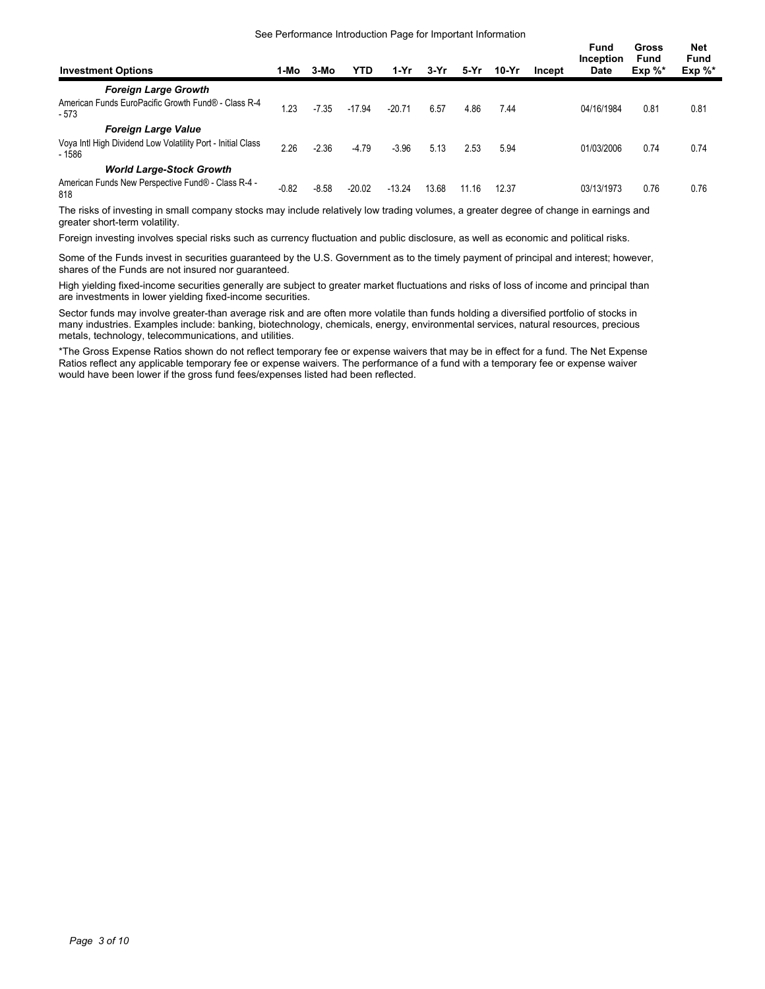#### See Performance Introduction Page for Important Information

| <b>Investment Options</b>                                             | 1-Mo            | 3-Mo    | YTD      | $1-Yr$   | 3-Yr  | 5-Yr  | $10-Yr$ | Incept | <b>Fund</b><br>Inception<br><b>Date</b> | Gross<br>Fund<br>$Exp \%^*$ | Net<br><b>Fund</b><br>$Exp \%^*$ |
|-----------------------------------------------------------------------|-----------------|---------|----------|----------|-------|-------|---------|--------|-----------------------------------------|-----------------------------|----------------------------------|
| <b>Foreign Large Growth</b>                                           |                 |         |          |          |       |       |         |        |                                         |                             |                                  |
| American Funds EuroPacific Growth Fund® - Class R-4<br>$-573$         | $\overline{23}$ | $-7.35$ | $-17.94$ | $-20.71$ | 6.57  | 4.86  | 7.44    |        | 04/16/1984                              | 0.81                        | 0.81                             |
| <b>Foreign Large Value</b>                                            |                 |         |          |          |       |       |         |        |                                         |                             |                                  |
| Voya Intl High Dividend Low Volatility Port - Initial Class<br>- 1586 | 2.26            | $-2.36$ | $-4.79$  | $-3.96$  | 5.13  | 2.53  | 5.94    |        | 01/03/2006                              | 0.74                        | 0.74                             |
| <b>World Large-Stock Growth</b>                                       |                 |         |          |          |       |       |         |        |                                         |                             |                                  |
| American Funds New Perspective Fund® - Class R-4 -<br>818             | $-0.82$         | $-8.58$ | $-20.02$ | $-13.24$ | 13.68 | 11.16 | 12.37   |        | 03/13/1973                              | 0.76                        | 0.76                             |

The risks of investing in small company stocks may include relatively low trading volumes, a greater degree of change in earnings and greater short-term volatility.

Foreign investing involves special risks such as currency fluctuation and public disclosure, as well as economic and political risks.

Some of the Funds invest in securities guaranteed by the U.S. Government as to the timely payment of principal and interest; however, shares of the Funds are not insured nor guaranteed.

High yielding fixed-income securities generally are subject to greater market fluctuations and risks of loss of income and principal than are investments in lower yielding fixed-income securities.

Sector funds may involve greater-than average risk and are often more volatile than funds holding a diversified portfolio of stocks in many industries. Examples include: banking, biotechnology, chemicals, energy, environmental services, natural resources, precious metals, technology, telecommunications, and utilities.

\*The Gross Expense Ratios shown do not reflect temporary fee or expense waivers that may be in effect for a fund. The Net Expense Ratios reflect any applicable temporary fee or expense waivers. The performance of a fund with a temporary fee or expense waiver would have been lower if the gross fund fees/expenses listed had been reflected.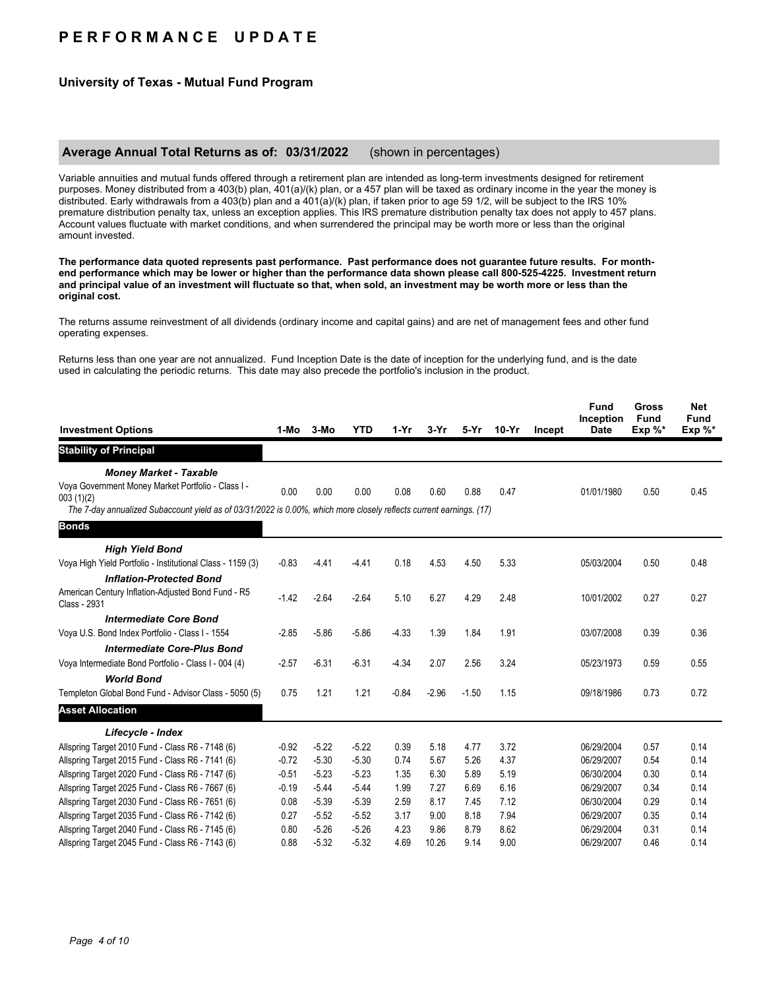# **P E R F O R M A N C E U P D A T E**

## **University of Texas - Mutual Fund Program**

### **Average Annual Total Returns as of: 03/31/2022** (shown in percentages)

Variable annuities and mutual funds offered through a retirement plan are intended as long-term investments designed for retirement purposes. Money distributed from a 403(b) plan, 401(a)/(k) plan, or a 457 plan will be taxed as ordinary income in the year the money is distributed. Early withdrawals from a 403(b) plan and a 401(a)/(k) plan, if taken prior to age 59 1/2, will be subject to the IRS 10% premature distribution penalty tax, unless an exception applies. This IRS premature distribution penalty tax does not apply to 457 plans. Account values fluctuate with market conditions, and when surrendered the principal may be worth more or less than the original amount invested.

**The performance data quoted represents past performance. Past performance does not guarantee future results. For monthend performance which may be lower or higher than the performance data shown please call 800-525-4225. Investment return and principal value of an investment will fluctuate so that, when sold, an investment may be worth more or less than the original cost.**

The returns assume reinvestment of all dividends (ordinary income and capital gains) and are net of management fees and other fund operating expenses.

Returns less than one year are not annualized. Fund Inception Date is the date of inception for the underlying fund, and is the date used in calculating the periodic returns. This date may also precede the portfolio's inclusion in the product.

| <b>Investment Options</b>                                                                                           | 1-Mo    | 3-Mo    | <b>YTD</b> | $1-Yr$  | $3-Yr$  | $5-Yr$  | $10-Yr$ | Incept | <b>Fund</b><br>Inception<br><b>Date</b> | <b>Gross</b><br><b>Fund</b><br>Exp $\%^*$ | <b>Net</b><br><b>Fund</b><br>Exp $\%^*$ |
|---------------------------------------------------------------------------------------------------------------------|---------|---------|------------|---------|---------|---------|---------|--------|-----------------------------------------|-------------------------------------------|-----------------------------------------|
| <b>Stability of Principal</b>                                                                                       |         |         |            |         |         |         |         |        |                                         |                                           |                                         |
| <b>Money Market - Taxable</b>                                                                                       |         |         |            |         |         |         |         |        |                                         |                                           |                                         |
| Voya Government Money Market Portfolio - Class I -<br>003(1)(2)                                                     | 0.00    | 0.00    | 0.00       | 0.08    | 0.60    | 0.88    | 0.47    |        | 01/01/1980                              | 0.50                                      | 0.45                                    |
| The 7-day annualized Subaccount yield as of 03/31/2022 is 0.00%, which more closely reflects current earnings. (17) |         |         |            |         |         |         |         |        |                                         |                                           |                                         |
| <b>Bonds</b>                                                                                                        |         |         |            |         |         |         |         |        |                                         |                                           |                                         |
| <b>High Yield Bond</b>                                                                                              |         |         |            |         |         |         |         |        |                                         |                                           |                                         |
| Voya High Yield Portfolio - Institutional Class - 1159 (3)                                                          | $-0.83$ | $-4.41$ | $-4.41$    | 0.18    | 4.53    | 4.50    | 5.33    |        | 05/03/2004                              | 0.50                                      | 0.48                                    |
| <b>Inflation-Protected Bond</b>                                                                                     |         |         |            |         |         |         |         |        |                                         |                                           |                                         |
| American Century Inflation-Adjusted Bond Fund - R5<br>Class - 2931                                                  | $-1.42$ | $-2.64$ | $-2.64$    | 5.10    | 6.27    | 4.29    | 2.48    |        | 10/01/2002                              | 0.27                                      | 0.27                                    |
| <b>Intermediate Core Bond</b>                                                                                       |         |         |            |         |         |         |         |        |                                         |                                           |                                         |
| Voya U.S. Bond Index Portfolio - Class I - 1554                                                                     | $-2.85$ | $-5.86$ | $-5.86$    | $-4.33$ | 1.39    | 1.84    | 1.91    |        | 03/07/2008                              | 0.39                                      | 0.36                                    |
| <b>Intermediate Core-Plus Bond</b>                                                                                  |         |         |            |         |         |         |         |        |                                         |                                           |                                         |
| Voya Intermediate Bond Portfolio - Class I - 004 (4)                                                                | $-2.57$ | $-6.31$ | $-6.31$    | $-4.34$ | 2.07    | 2.56    | 3.24    |        | 05/23/1973                              | 0.59                                      | 0.55                                    |
| <b>World Bond</b>                                                                                                   |         |         |            |         |         |         |         |        |                                         |                                           |                                         |
| Templeton Global Bond Fund - Advisor Class - 5050 (5)                                                               | 0.75    | 1.21    | 1.21       | $-0.84$ | $-2.96$ | $-1.50$ | 1.15    |        | 09/18/1986                              | 0.73                                      | 0.72                                    |
| <b>Asset Allocation</b>                                                                                             |         |         |            |         |         |         |         |        |                                         |                                           |                                         |
| Lifecycle - Index                                                                                                   |         |         |            |         |         |         |         |        |                                         |                                           |                                         |
| Allspring Target 2010 Fund - Class R6 - 7148 (6)                                                                    | $-0.92$ | $-5.22$ | $-5.22$    | 0.39    | 5.18    | 4.77    | 3.72    |        | 06/29/2004                              | 0.57                                      | 0.14                                    |
| Allspring Target 2015 Fund - Class R6 - 7141 (6)                                                                    | $-0.72$ | $-5.30$ | $-5.30$    | 0.74    | 5.67    | 5.26    | 4.37    |        | 06/29/2007                              | 0.54                                      | 0.14                                    |
| Allspring Target 2020 Fund - Class R6 - 7147 (6)                                                                    | $-0.51$ | $-5.23$ | $-5.23$    | 1.35    | 6.30    | 5.89    | 5.19    |        | 06/30/2004                              | 0.30                                      | 0.14                                    |
| Allspring Target 2025 Fund - Class R6 - 7667 (6)                                                                    | $-0.19$ | $-5.44$ | $-5.44$    | 1.99    | 7.27    | 6.69    | 6.16    |        | 06/29/2007                              | 0.34                                      | 0.14                                    |
| Allspring Target 2030 Fund - Class R6 - 7651 (6)                                                                    | 0.08    | $-5.39$ | $-5.39$    | 2.59    | 8.17    | 7.45    | 7.12    |        | 06/30/2004                              | 0.29                                      | 0.14                                    |
| Allspring Target 2035 Fund - Class R6 - 7142 (6)                                                                    | 0.27    | $-5.52$ | $-5.52$    | 3.17    | 9.00    | 8.18    | 7.94    |        | 06/29/2007                              | 0.35                                      | 0.14                                    |
| Allspring Target 2040 Fund - Class R6 - 7145 (6)                                                                    | 0.80    | $-5.26$ | $-5.26$    | 4.23    | 9.86    | 8.79    | 8.62    |        | 06/29/2004                              | 0.31                                      | 0.14                                    |
| Allspring Target 2045 Fund - Class R6 - 7143 (6)                                                                    | 0.88    | $-5.32$ | $-5.32$    | 4.69    | 10.26   | 9.14    | 9.00    |        | 06/29/2007                              | 0.46                                      | 0.14                                    |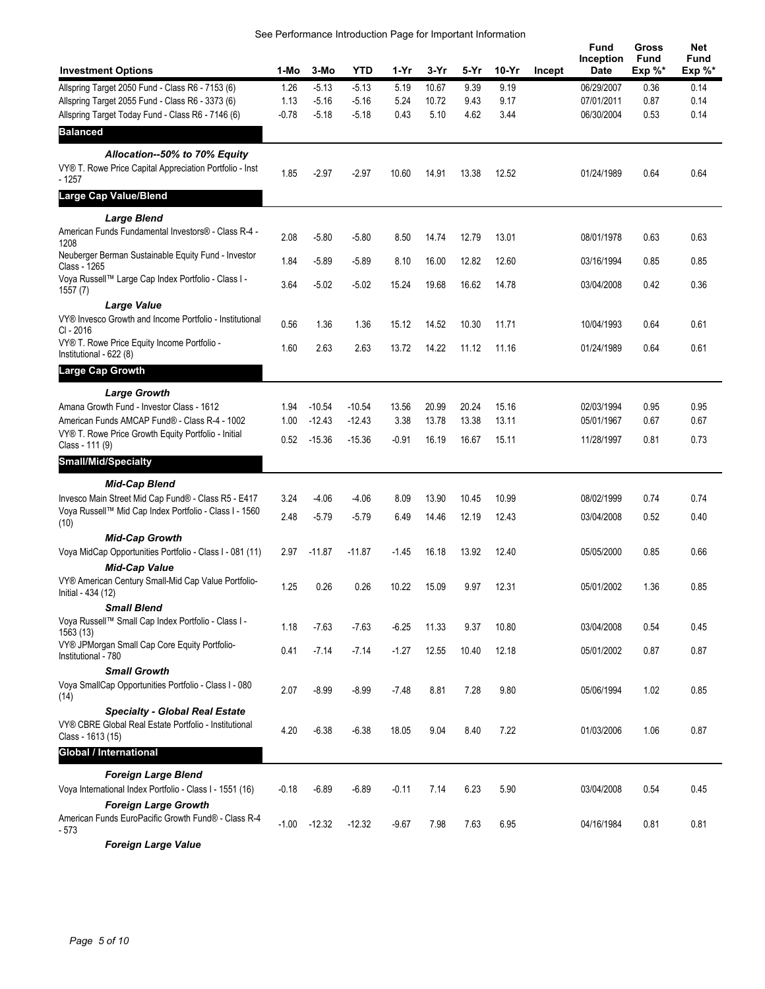| See Performance Introduction Page for Important Information |  |  |  |
|-------------------------------------------------------------|--|--|--|
|                                                             |  |  |  |

| <b>Investment Options</b>                                                                                           | 1-Mo    | 3-Mo     | <b>YTD</b> | 1-Yr    | 3-Yr  | 5-Yr  | $10-Yr$ | Incept | Fund<br>Inception<br>Date | Gross<br><b>Fund</b><br>$Exp \%^*$ | <b>Net</b><br>Fund<br>$Exp \%^*$ |
|---------------------------------------------------------------------------------------------------------------------|---------|----------|------------|---------|-------|-------|---------|--------|---------------------------|------------------------------------|----------------------------------|
| Allspring Target 2050 Fund - Class R6 - 7153 (6)                                                                    | 1.26    | $-5.13$  | $-5.13$    | 5.19    | 10.67 | 9.39  | 9.19    |        | 06/29/2007                | 0.36                               | 0.14                             |
| Allspring Target 2055 Fund - Class R6 - 3373 (6)                                                                    | 1.13    | $-5.16$  | $-5.16$    | 5.24    | 10.72 | 9.43  | 9.17    |        | 07/01/2011                | 0.87                               | 0.14                             |
| Allspring Target Today Fund - Class R6 - 7146 (6)                                                                   | $-0.78$ | $-5.18$  | $-5.18$    | 0.43    | 5.10  | 4.62  | 3.44    |        | 06/30/2004                | 0.53                               | 0.14                             |
| <b>Balanced</b>                                                                                                     |         |          |            |         |       |       |         |        |                           |                                    |                                  |
| Allocation--50% to 70% Equity                                                                                       |         |          |            |         |       |       |         |        |                           |                                    |                                  |
| VY® T. Rowe Price Capital Appreciation Portfolio - Inst<br>$-1257$                                                  | 1.85    | $-2.97$  | $-2.97$    | 10.60   | 14.91 | 13.38 | 12.52   |        | 01/24/1989                | 0.64                               | 0.64                             |
| <b>Large Cap Value/Blend</b>                                                                                        |         |          |            |         |       |       |         |        |                           |                                    |                                  |
| <b>Large Blend</b>                                                                                                  |         |          |            |         |       |       |         |        |                           |                                    |                                  |
| American Funds Fundamental Investors® - Class R-4 -<br>1208                                                         | 2.08    | $-5.80$  | $-5.80$    | 8.50    | 14.74 | 12.79 | 13.01   |        | 08/01/1978                | 0.63                               | 0.63                             |
| Neuberger Berman Sustainable Equity Fund - Investor<br>Class - 1265                                                 | 1.84    | $-5.89$  | $-5.89$    | 8.10    | 16.00 | 12.82 | 12.60   |        | 03/16/1994                | 0.85                               | 0.85                             |
| Voya Russell™ Large Cap Index Portfolio - Class I -<br>1557(7)                                                      | 3.64    | $-5.02$  | $-5.02$    | 15.24   | 19.68 | 16.62 | 14.78   |        | 03/04/2008                | 0.42                               | 0.36                             |
| Large Value                                                                                                         |         |          |            |         |       |       |         |        |                           |                                    |                                  |
| VY® Invesco Growth and Income Portfolio - Institutional<br>CI - 2016                                                | 0.56    | 1.36     | 1.36       | 15.12   | 14.52 | 10.30 | 11.71   |        | 10/04/1993                | 0.64                               | 0.61                             |
| VY® T. Rowe Price Equity Income Portfolio -<br>Institutional - 622 (8)                                              | 1.60    | 2.63     | 2.63       | 13.72   | 14.22 | 11.12 | 11.16   |        | 01/24/1989                | 0.64                               | 0.61                             |
| Large Cap Growth                                                                                                    |         |          |            |         |       |       |         |        |                           |                                    |                                  |
| <b>Large Growth</b>                                                                                                 |         |          |            |         |       |       |         |        |                           |                                    |                                  |
| Amana Growth Fund - Investor Class - 1612                                                                           | 1.94    | $-10.54$ | $-10.54$   | 13.56   | 20.99 | 20.24 | 15.16   |        | 02/03/1994                | 0.95                               | 0.95                             |
| American Funds AMCAP Fund® - Class R-4 - 1002                                                                       | 1.00    | $-12.43$ | $-12.43$   | 3.38    | 13.78 | 13.38 | 13.11   |        | 05/01/1967                | 0.67                               | 0.67                             |
| VY® T. Rowe Price Growth Equity Portfolio - Initial<br>Class - 111 (9)                                              | 0.52    | $-15.36$ | $-15.36$   | $-0.91$ | 16.19 | 16.67 | 15.11   |        | 11/28/1997                | 0.81                               | 0.73                             |
| <b>Small/Mid/Specialty</b>                                                                                          |         |          |            |         |       |       |         |        |                           |                                    |                                  |
| <b>Mid-Cap Blend</b>                                                                                                |         |          |            |         |       |       |         |        |                           |                                    |                                  |
| Invesco Main Street Mid Cap Fund® - Class R5 - E417                                                                 | 3.24    | $-4.06$  | $-4.06$    | 8.09    | 13.90 | 10.45 | 10.99   |        | 08/02/1999                | 0.74                               | 0.74                             |
| Voya Russell™ Mid Cap Index Portfolio - Class I - 1560<br>(10)                                                      | 2.48    | $-5.79$  | $-5.79$    | 6.49    | 14.46 | 12.19 | 12.43   |        | 03/04/2008                | 0.52                               | 0.40                             |
| <b>Mid-Cap Growth</b>                                                                                               |         |          |            |         |       |       |         |        |                           |                                    |                                  |
| Voya MidCap Opportunities Portfolio - Class I - 081 (11)<br><b>Mid-Cap Value</b>                                    | 2.97    | $-11.87$ | $-11.87$   | $-1.45$ | 16.18 | 13.92 | 12.40   |        | 05/05/2000                | 0.85                               | 0.66                             |
| VY® American Century Small-Mid Cap Value Portfolio-<br>Initial - 434 (12)                                           | 1.25    | 0.26     | 0.26       | 10.22   | 15.09 | 9.97  | 12.31   |        | 05/01/2002                | 1.36                               | 0.85                             |
| <b>Small Blend</b>                                                                                                  |         |          |            |         |       |       |         |        |                           |                                    |                                  |
| Voya Russell™ Small Cap Index Portfolio - Class I -<br>1563 (13)                                                    | 1.18    | $-7.63$  | $-7.63$    | $-6.25$ | 11.33 | 9.37  | 10.80   |        | 03/04/2008                | 0.54                               | 0.45                             |
| VY® JPMorgan Small Cap Core Equity Portfolio-<br>Institutional - 780                                                | 0.41    | $-7.14$  | $-7.14$    | $-1.27$ | 12.55 | 10.40 | 12.18   |        | 05/01/2002                | 0.87                               | 0.87                             |
| <b>Small Growth</b>                                                                                                 |         |          |            |         |       |       |         |        |                           |                                    |                                  |
| Voya SmallCap Opportunities Portfolio - Class I - 080<br>(14)                                                       | 2.07    | $-8.99$  | $-8.99$    | $-7.48$ | 8.81  | 7.28  | 9.80    |        | 05/06/1994                | 1.02                               | 0.85                             |
| <b>Specialty - Global Real Estate</b><br>VY® CBRE Global Real Estate Portfolio - Institutional<br>Class - 1613 (15) | 4.20    | $-6.38$  | $-6.38$    | 18.05   | 9.04  | 8.40  | 7.22    |        | 01/03/2006                | 1.06                               | 0.87                             |
| Global / International                                                                                              |         |          |            |         |       |       |         |        |                           |                                    |                                  |
| <b>Foreign Large Blend</b><br>Voya International Index Portfolio - Class I - 1551 (16)                              | $-0.18$ | $-6.89$  | $-6.89$    | $-0.11$ | 7.14  | 6.23  | 5.90    |        | 03/04/2008                | 0.54                               | 0.45                             |
| <b>Foreign Large Growth</b>                                                                                         |         |          |            |         |       |       |         |        |                           |                                    |                                  |
| American Funds EuroPacific Growth Fund® - Class R-4<br>- 573                                                        | $-1.00$ | $-12.32$ | $-12.32$   | $-9.67$ | 7.98  | 7.63  | 6.95    |        | 04/16/1984                | 0.81                               | 0.81                             |
| <b>Foreign Large Value</b>                                                                                          |         |          |            |         |       |       |         |        |                           |                                    |                                  |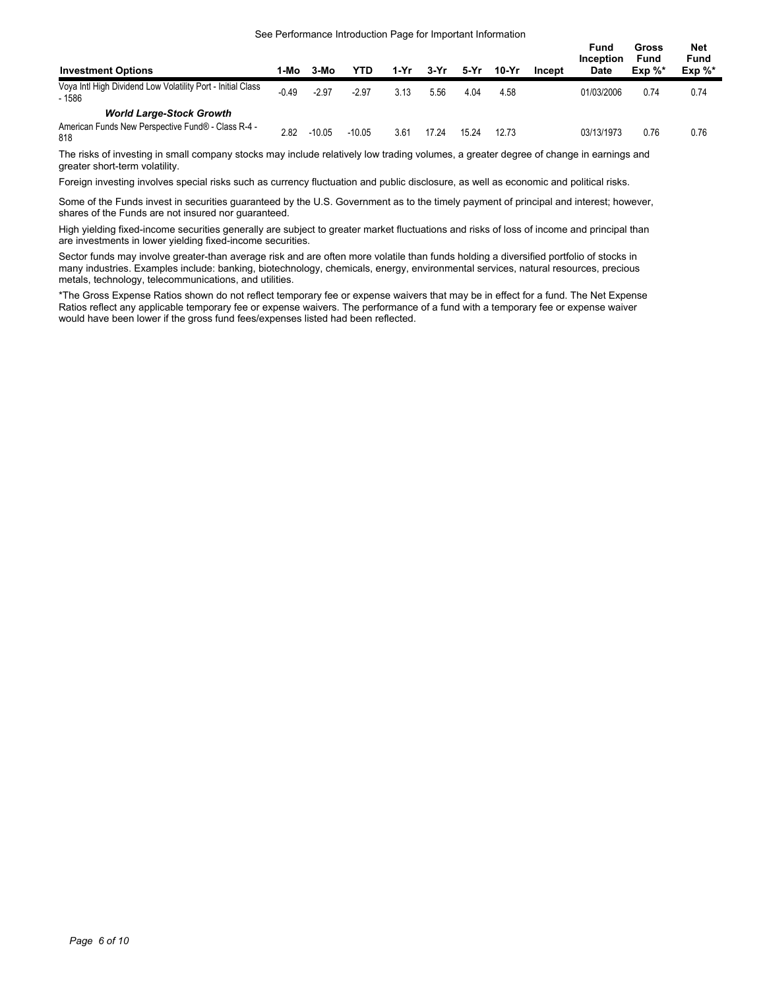#### See Performance Introduction Page for Important Information

**Net**

| <b>Investment Options</b>                                                                    | 1-Mo    | 3-Mo     | YTD      | 1-Yr | 3-Yr  | 5-Yr  | 10-Yr | Incept | Fund<br>Inception<br><b>Date</b> | Gross<br><b>Fund</b><br>$Exp \%^*$ | Net<br>Fund<br>$Exp \%^*$ |
|----------------------------------------------------------------------------------------------|---------|----------|----------|------|-------|-------|-------|--------|----------------------------------|------------------------------------|---------------------------|
| Voya Intl High Dividend Low Volatility Port - Initial Class<br>$-1586$                       | $-0.49$ | $-2.97$  | $-2.97$  | 3.13 | 5.56  | 4.04  | 4.58  |        | 01/03/2006                       | 0.74                               | 0.74                      |
| <b>World Large-Stock Growth</b><br>American Funds New Perspective Fund® - Class R-4 -<br>818 | 2.82    | $-10.05$ | $-10.05$ | 3.61 | 17.24 | 15.24 | 12.73 |        | 03/13/1973                       | 0.76                               | 0.76                      |

The risks of investing in small company stocks may include relatively low trading volumes, a greater degree of change in earnings and greater short-term volatility.

Foreign investing involves special risks such as currency fluctuation and public disclosure, as well as economic and political risks.

Some of the Funds invest in securities guaranteed by the U.S. Government as to the timely payment of principal and interest; however, shares of the Funds are not insured nor guaranteed.

High yielding fixed-income securities generally are subject to greater market fluctuations and risks of loss of income and principal than are investments in lower yielding fixed-income securities.

Sector funds may involve greater-than average risk and are often more volatile than funds holding a diversified portfolio of stocks in many industries. Examples include: banking, biotechnology, chemicals, energy, environmental services, natural resources, precious metals, technology, telecommunications, and utilities.

\*The Gross Expense Ratios shown do not reflect temporary fee or expense waivers that may be in effect for a fund. The Net Expense Ratios reflect any applicable temporary fee or expense waivers. The performance of a fund with a temporary fee or expense waiver would have been lower if the gross fund fees/expenses listed had been reflected.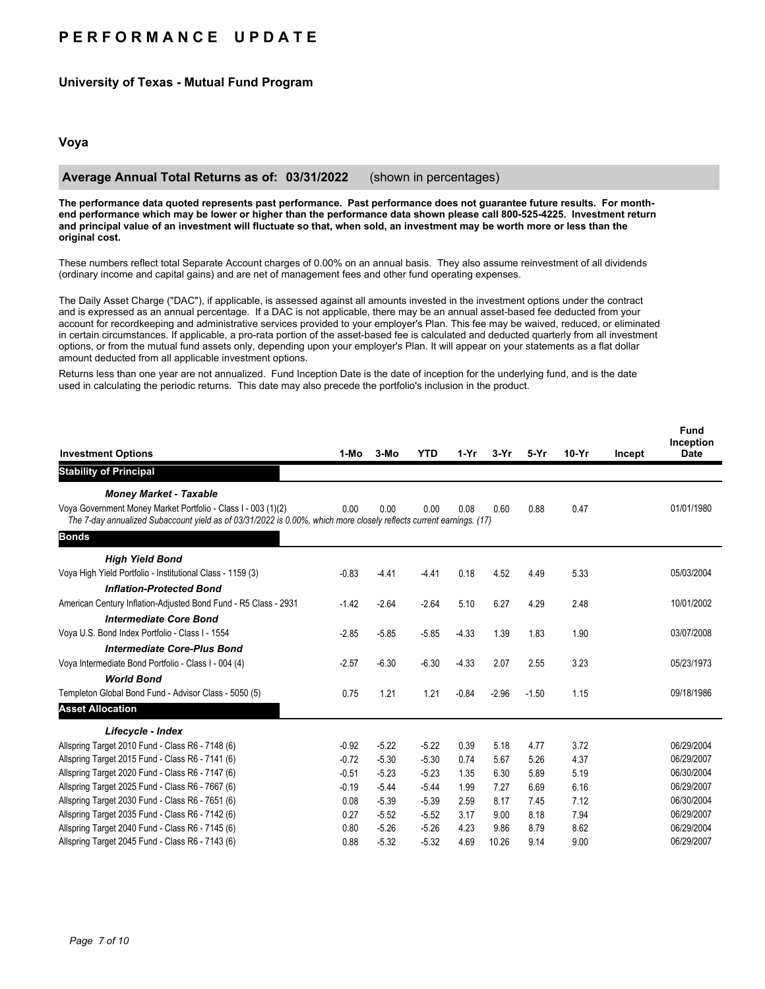# **P E R F O R M A N C E U P D A T E**

## **University of Texas - Mutual Fund Program**

## **Voya**

### **Average Annual Total Returns as of: 03/31/2022** (shown in percentages)

**The performance data quoted represents past performance. Past performance does not guarantee future results. For monthend performance which may be lower or higher than the performance data shown please call 800-525-4225. Investment return and principal value of an investment will fluctuate so that, when sold, an investment may be worth more or less than the original cost.**

These numbers reflect total Separate Account charges of 0.00% on an annual basis. They also assume reinvestment of all dividends (ordinary income and capital gains) and are net of management fees and other fund operating expenses.

The Daily Asset Charge ("DAC"), if applicable, is assessed against all amounts invested in the investment options under the contract and is expressed as an annual percentage. If a DAC is not applicable, there may be an annual asset-based fee deducted from your account for recordkeeping and administrative services provided to your employer's Plan. This fee may be waived, reduced, or eliminated in certain circumstances. If applicable, a pro-rata portion of the asset-based fee is calculated and deducted quarterly from all investment options, or from the mutual fund assets only, depending upon your employer's Plan. It will appear on your statements as a flat dollar amount deducted from all applicable investment options.

Returns less than one year are not annualized. Fund Inception Date is the date of inception for the underlying fund, and is the date used in calculating the periodic returns. This date may also precede the portfolio's inclusion in the product.

|                                                                                                                                                                                      |         |         |            |         |         |         |         |        | <b>Fund</b><br>Inception |
|--------------------------------------------------------------------------------------------------------------------------------------------------------------------------------------|---------|---------|------------|---------|---------|---------|---------|--------|--------------------------|
| <b>Investment Options</b>                                                                                                                                                            | 1-Mo    | 3-Mo    | <b>YTD</b> | 1-Yr    | 3-Yr    | 5-Yr    | $10-Yr$ | Incept | <b>Date</b>              |
| <b>Stability of Principal</b>                                                                                                                                                        |         |         |            |         |         |         |         |        |                          |
| <b>Money Market - Taxable</b>                                                                                                                                                        |         |         |            |         |         |         |         |        |                          |
| Voya Government Money Market Portfolio - Class I - 003 (1)(2)<br>The 7-day annualized Subaccount yield as of 03/31/2022 is 0.00%, which more closely reflects current earnings. (17) | 0.00    | 0.00    | 0.00       | 0.08    | 0.60    | 0.88    | 0.47    |        | 01/01/1980               |
| <b>Bonds</b>                                                                                                                                                                         |         |         |            |         |         |         |         |        |                          |
| <b>High Yield Bond</b>                                                                                                                                                               |         |         |            |         |         |         |         |        |                          |
| Voya High Yield Portfolio - Institutional Class - 1159 (3)                                                                                                                           | $-0.83$ | $-4.41$ | $-4.41$    | 0.18    | 4.52    | 4.49    | 5.33    |        | 05/03/2004               |
| <b>Inflation-Protected Bond</b>                                                                                                                                                      |         |         |            |         |         |         |         |        |                          |
| American Century Inflation-Adjusted Bond Fund - R5 Class - 2931                                                                                                                      | $-1.42$ | $-2.64$ | $-2.64$    | 5.10    | 6.27    | 4.29    | 2.48    |        | 10/01/2002               |
| <b>Intermediate Core Bond</b>                                                                                                                                                        |         |         |            |         |         |         |         |        |                          |
| Voya U.S. Bond Index Portfolio - Class I - 1554                                                                                                                                      | $-2.85$ | $-5.85$ | $-5.85$    | $-4.33$ | 1.39    | 1.83    | 1.90    |        | 03/07/2008               |
| <b>Intermediate Core-Plus Bond</b>                                                                                                                                                   |         |         |            |         |         |         |         |        |                          |
| Voya Intermediate Bond Portfolio - Class I - 004 (4)                                                                                                                                 | $-2.57$ | $-6.30$ | $-6.30$    | $-4.33$ | 2.07    | 2.55    | 3.23    |        | 05/23/1973               |
| <b>World Bond</b>                                                                                                                                                                    |         |         |            |         |         |         |         |        |                          |
| Templeton Global Bond Fund - Advisor Class - 5050 (5)                                                                                                                                | 0.75    | 1.21    | 1.21       | $-0.84$ | $-2.96$ | $-1.50$ | 1.15    |        | 09/18/1986               |
| <b>Asset Allocation</b>                                                                                                                                                              |         |         |            |         |         |         |         |        |                          |
| Lifecycle - Index                                                                                                                                                                    |         |         |            |         |         |         |         |        |                          |
| Allspring Target 2010 Fund - Class R6 - 7148 (6)                                                                                                                                     | $-0.92$ | $-5.22$ | $-5.22$    | 0.39    | 5.18    | 4.77    | 3.72    |        | 06/29/2004               |
| Allspring Target 2015 Fund - Class R6 - 7141 (6)                                                                                                                                     | $-0.72$ | $-5.30$ | $-5.30$    | 0.74    | 5.67    | 5.26    | 4.37    |        | 06/29/2007               |
| Allspring Target 2020 Fund - Class R6 - 7147 (6)                                                                                                                                     | $-0.51$ | $-5.23$ | $-5.23$    | 1.35    | 6.30    | 5.89    | 5.19    |        | 06/30/2004               |
| Allspring Target 2025 Fund - Class R6 - 7667 (6)                                                                                                                                     | $-0.19$ | $-5.44$ | $-5.44$    | 1.99    | 7.27    | 6.69    | 6.16    |        | 06/29/2007               |
| Allspring Target 2030 Fund - Class R6 - 7651 (6)                                                                                                                                     | 0.08    | $-5.39$ | $-5.39$    | 2.59    | 8.17    | 7.45    | 7.12    |        | 06/30/2004               |
| Allspring Target 2035 Fund - Class R6 - 7142 (6)                                                                                                                                     | 0.27    | $-5.52$ | $-5.52$    | 3.17    | 9.00    | 8.18    | 7.94    |        | 06/29/2007               |
| Allspring Target 2040 Fund - Class R6 - 7145 (6)                                                                                                                                     | 0.80    | $-5.26$ | $-5.26$    | 4.23    | 9.86    | 8.79    | 8.62    |        | 06/29/2004               |
| Allspring Target 2045 Fund - Class R6 - 7143 (6)                                                                                                                                     | 0.88    | $-5.32$ | $-5.32$    | 4.69    | 10.26   | 9.14    | 9.00    |        | 06/29/2007               |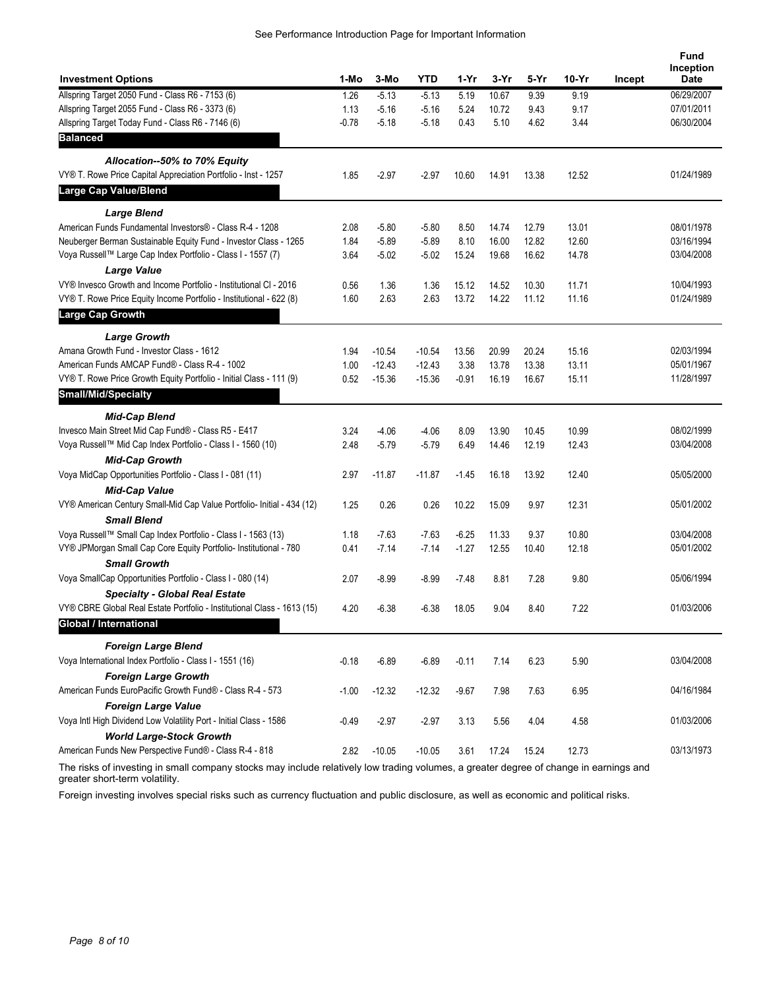| <b>Investment Options</b>                                                                      | 1-Mo         | 3-Mo                 | YTD                  | 1-Yr          | $3-Yr$         | 5-Yr           | $10-Yr$        | Incept | Fund<br>Inception<br>Date |
|------------------------------------------------------------------------------------------------|--------------|----------------------|----------------------|---------------|----------------|----------------|----------------|--------|---------------------------|
| Allspring Target 2050 Fund - Class R6 - 7153 (6)                                               | 1.26         | $-5.13$              | $-5.13$              | 5.19          | 10.67          | 9.39           | 9.19           |        | 06/29/2007                |
| Allspring Target 2055 Fund - Class R6 - 3373 (6)                                               | 1.13         | $-5.16$              | $-5.16$              | 5.24          | 10.72          | 9.43           | 9.17           |        | 07/01/2011                |
| Allspring Target Today Fund - Class R6 - 7146 (6)                                              | $-0.78$      | $-5.18$              | $-5.18$              | 0.43          | 5.10           | 4.62           | 3.44           |        | 06/30/2004                |
| <b>Balanced</b>                                                                                |              |                      |                      |               |                |                |                |        |                           |
| Allocation--50% to 70% Equity                                                                  |              |                      |                      |               |                |                |                |        |                           |
| VY® T. Rowe Price Capital Appreciation Portfolio - Inst - 1257                                 | 1.85         | $-2.97$              | $-2.97$              | 10.60         | 14.91          | 13.38          | 12.52          |        | 01/24/1989                |
| Large Cap Value/Blend                                                                          |              |                      |                      |               |                |                |                |        |                           |
| <b>Large Blend</b>                                                                             |              |                      |                      |               |                |                |                |        |                           |
| American Funds Fundamental Investors® - Class R-4 - 1208                                       | 2.08         | $-5.80$              | $-5.80$              | 8.50          | 14.74          | 12.79          | 13.01          |        | 08/01/1978                |
| Neuberger Berman Sustainable Equity Fund - Investor Class - 1265                               | 1.84         | $-5.89$              | $-5.89$              | 8.10          | 16.00          | 12.82          | 12.60          |        | 03/16/1994                |
| Voya Russell™ Large Cap Index Portfolio - Class I - 1557 (7)                                   | 3.64         | $-5.02$              | $-5.02$              | 15.24         | 19.68          | 16.62          | 14.78          |        | 03/04/2008                |
| <b>Large Value</b>                                                                             |              |                      |                      |               |                |                |                |        |                           |
| VY® Invesco Growth and Income Portfolio - Institutional CI - 2016                              | 0.56         | 1.36                 | 1.36                 | 15.12         | 14.52          | 10.30          | 11.71          |        | 10/04/1993                |
| VY® T. Rowe Price Equity Income Portfolio - Institutional - 622 (8)<br><b>Large Cap Growth</b> | 1.60         | 2.63                 | 2.63                 | 13.72         | 14.22          | 11.12          | 11.16          |        | 01/24/1989                |
|                                                                                                |              |                      |                      |               |                |                |                |        |                           |
| <b>Large Growth</b>                                                                            |              |                      |                      |               |                |                |                |        |                           |
| Amana Growth Fund - Investor Class - 1612<br>American Funds AMCAP Fund® - Class R-4 - 1002     | 1.94         | $-10.54$             | $-10.54$<br>$-12.43$ | 13.56<br>3.38 | 20.99          | 20.24<br>13.38 | 15.16          |        | 02/03/1994<br>05/01/1967  |
| VY® T. Rowe Price Growth Equity Portfolio - Initial Class - 111 (9)                            | 1.00<br>0.52 | $-12.43$<br>$-15.36$ | $-15.36$             | $-0.91$       | 13.78<br>16.19 | 16.67          | 13.11<br>15.11 |        | 11/28/1997                |
| <b>Small/Mid/Specialty</b>                                                                     |              |                      |                      |               |                |                |                |        |                           |
|                                                                                                |              |                      |                      |               |                |                |                |        |                           |
| <b>Mid-Cap Blend</b>                                                                           |              |                      |                      |               |                |                |                |        |                           |
| Invesco Main Street Mid Cap Fund® - Class R5 - E417                                            | 3.24         | $-4.06$              | $-4.06$              | 8.09          | 13.90          | 10.45          | 10.99          |        | 08/02/1999<br>03/04/2008  |
| Voya Russell™ Mid Cap Index Portfolio - Class I - 1560 (10)<br><b>Mid-Cap Growth</b>           | 2.48         | $-5.79$              | $-5.79$              | 6.49          | 14.46          | 12.19          | 12.43          |        |                           |
| Voya MidCap Opportunities Portfolio - Class I - 081 (11)                                       | 2.97         | $-11.87$             | $-11.87$             | $-1.45$       | 16.18          | 13.92          | 12.40          |        | 05/05/2000                |
| <b>Mid-Cap Value</b>                                                                           |              |                      |                      |               |                |                |                |        |                           |
| VY® American Century Small-Mid Cap Value Portfolio- Initial - 434 (12)                         | 1.25         | 0.26                 | 0.26                 | 10.22         | 15.09          | 9.97           | 12.31          |        | 05/01/2002                |
| <b>Small Blend</b>                                                                             |              |                      |                      |               |                |                |                |        |                           |
| Voya Russell™ Small Cap Index Portfolio - Class I - 1563 (13)                                  | 1.18         | $-7.63$              | $-7.63$              | $-6.25$       | 11.33          | 9.37           | 10.80          |        | 03/04/2008                |
| VY® JPMorgan Small Cap Core Equity Portfolio- Institutional - 780                              | 0.41         | $-7.14$              | $-7.14$              | $-1.27$       | 12.55          | 10.40          | 12.18          |        | 05/01/2002                |
| <b>Small Growth</b>                                                                            |              |                      |                      |               |                |                |                |        |                           |
| Voya SmallCap Opportunities Portfolio - Class I - 080 (14)                                     | 2.07         | $-8.99$              | $-8.99$              | $-7.48$       | 8.81           | 7.28           | 9.80           |        | 05/06/1994                |
| <b>Specialty - Global Real Estate</b>                                                          |              |                      |                      |               |                |                |                |        |                           |
| VY® CBRE Global Real Estate Portfolio - Institutional Class - 1613 (15)                        | 4.20         | $-6.38$              | $-6.38$              | 18.05         | 9.04           | 8.40           | 7.22           |        | 01/03/2006                |
| <b>Global / International</b>                                                                  |              |                      |                      |               |                |                |                |        |                           |
| <b>Foreign Large Blend</b>                                                                     |              |                      |                      |               |                |                |                |        |                           |
| Voya International Index Portfolio - Class I - 1551 (16)                                       | $-0.18$      | $-6.89$              | $-6.89$              | $-0.11$       | 7.14           | 6.23           | 5.90           |        | 03/04/2008                |
| <b>Foreign Large Growth</b>                                                                    |              |                      |                      |               |                |                |                |        |                           |
| American Funds EuroPacific Growth Fund® - Class R-4 - 573                                      | $-1.00$      | $-12.32$             | $-12.32$             | $-9.67$       | 7.98           | 7.63           | 6.95           |        | 04/16/1984                |
| <b>Foreign Large Value</b>                                                                     |              |                      |                      |               |                |                |                |        |                           |
| Voya Intl High Dividend Low Volatility Port - Initial Class - 1586                             | $-0.49$      | $-2.97$              | $-2.97$              | 3.13          | 5.56           | 4.04           | 4.58           |        | 01/03/2006                |
| <b>World Large-Stock Growth</b><br>American Funds New Perspective Fund® - Class R-4 - 818      | 2.82         | $-10.05$             | $-10.05$             | 3.61          | 17.24          | 15.24          | 12.73          |        | 03/13/1973                |
|                                                                                                |              |                      |                      |               |                |                |                |        |                           |

The risks of investing in small company stocks may include relatively low trading volumes, a greater degree of change in earnings and greater short-term volatility.

Foreign investing involves special risks such as currency fluctuation and public disclosure, as well as economic and political risks.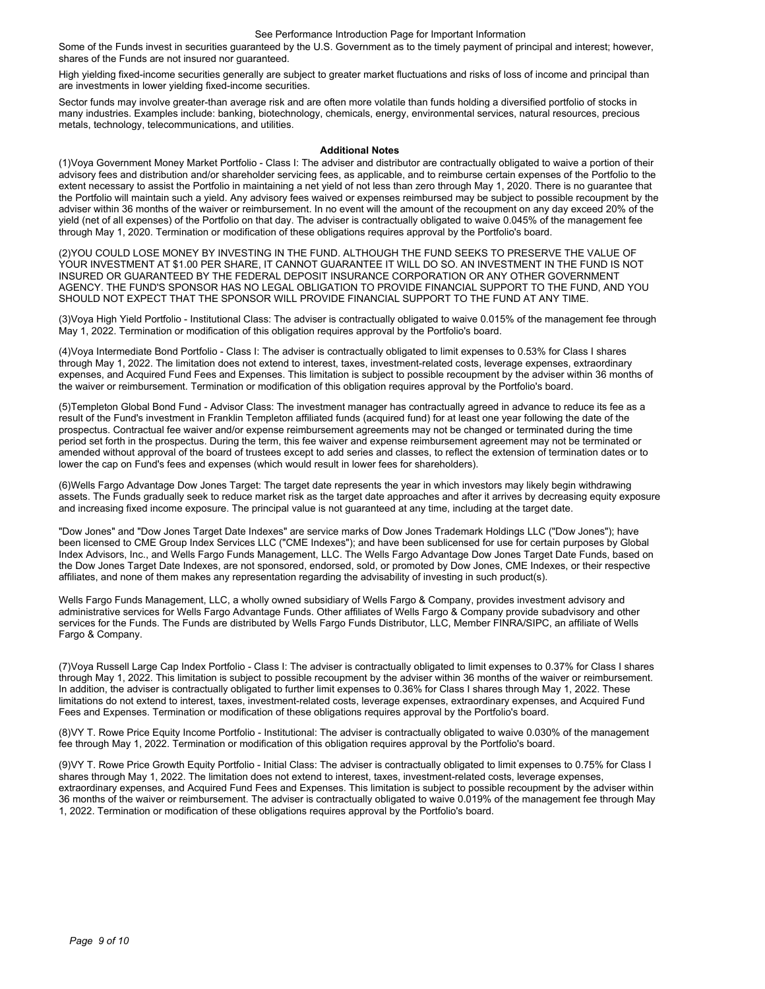Some of the Funds invest in securities guaranteed by the U.S. Government as to the timely payment of principal and interest; however, shares of the Funds are not insured nor guaranteed.

High yielding fixed-income securities generally are subject to greater market fluctuations and risks of loss of income and principal than are investments in lower yielding fixed-income securities.

Sector funds may involve greater-than average risk and are often more volatile than funds holding a diversified portfolio of stocks in many industries. Examples include: banking, biotechnology, chemicals, energy, environmental services, natural resources, precious metals, technology, telecommunications, and utilities.

#### **Additional Notes**

(1)Voya Government Money Market Portfolio - Class I: The adviser and distributor are contractually obligated to waive a portion of their advisory fees and distribution and/or shareholder servicing fees, as applicable, and to reimburse certain expenses of the Portfolio to the extent necessary to assist the Portfolio in maintaining a net yield of not less than zero through May 1, 2020. There is no guarantee that the Portfolio will maintain such a yield. Any advisory fees waived or expenses reimbursed may be subject to possible recoupment by the adviser within 36 months of the waiver or reimbursement. In no event will the amount of the recoupment on any day exceed 20% of the yield (net of all expenses) of the Portfolio on that day. The adviser is contractually obligated to waive 0.045% of the management fee through May 1, 2020. Termination or modification of these obligations requires approval by the Portfolio's board.

(2)YOU COULD LOSE MONEY BY INVESTING IN THE FUND. ALTHOUGH THE FUND SEEKS TO PRESERVE THE VALUE OF YOUR INVESTMENT AT \$1.00 PER SHARE, IT CANNOT GUARANTEE IT WILL DO SO. AN INVESTMENT IN THE FUND IS NOT INSURED OR GUARANTEED BY THE FEDERAL DEPOSIT INSURANCE CORPORATION OR ANY OTHER GOVERNMENT AGENCY. THE FUND'S SPONSOR HAS NO LEGAL OBLIGATION TO PROVIDE FINANCIAL SUPPORT TO THE FUND, AND YOU SHOULD NOT EXPECT THAT THE SPONSOR WILL PROVIDE FINANCIAL SUPPORT TO THE FUND AT ANY TIME.

(3)Voya High Yield Portfolio - Institutional Class: The adviser is contractually obligated to waive 0.015% of the management fee through May 1, 2022. Termination or modification of this obligation requires approval by the Portfolio's board.

(4)Voya Intermediate Bond Portfolio - Class I: The adviser is contractually obligated to limit expenses to 0.53% for Class I shares through May 1, 2022. The limitation does not extend to interest, taxes, investment-related costs, leverage expenses, extraordinary expenses, and Acquired Fund Fees and Expenses. This limitation is subject to possible recoupment by the adviser within 36 months of the waiver or reimbursement. Termination or modification of this obligation requires approval by the Portfolio's board.

(5)Templeton Global Bond Fund - Advisor Class: The investment manager has contractually agreed in advance to reduce its fee as a result of the Fund's investment in Franklin Templeton affiliated funds (acquired fund) for at least one year following the date of the prospectus. Contractual fee waiver and/or expense reimbursement agreements may not be changed or terminated during the time period set forth in the prospectus. During the term, this fee waiver and expense reimbursement agreement may not be terminated or amended without approval of the board of trustees except to add series and classes, to reflect the extension of termination dates or to lower the cap on Fund's fees and expenses (which would result in lower fees for shareholders).

(6)Wells Fargo Advantage Dow Jones Target: The target date represents the year in which investors may likely begin withdrawing assets. The Funds gradually seek to reduce market risk as the target date approaches and after it arrives by decreasing equity exposure and increasing fixed income exposure. The principal value is not guaranteed at any time, including at the target date.

"Dow Jones" and "Dow Jones Target Date Indexes" are service marks of Dow Jones Trademark Holdings LLC ("Dow Jones"); have been licensed to CME Group Index Services LLC ("CME Indexes"); and have been sublicensed for use for certain purposes by Global Index Advisors, Inc., and Wells Fargo Funds Management, LLC. The Wells Fargo Advantage Dow Jones Target Date Funds, based on the Dow Jones Target Date Indexes, are not sponsored, endorsed, sold, or promoted by Dow Jones, CME Indexes, or their respective affiliates, and none of them makes any representation regarding the advisability of investing in such product(s).

Wells Fargo Funds Management, LLC, a wholly owned subsidiary of Wells Fargo & Company, provides investment advisory and administrative services for Wells Fargo Advantage Funds. Other affiliates of Wells Fargo & Company provide subadvisory and other services for the Funds. The Funds are distributed by Wells Fargo Funds Distributor, LLC, Member FINRA/SIPC, an affiliate of Wells Fargo & Company.

(7)Voya Russell Large Cap Index Portfolio - Class I: The adviser is contractually obligated to limit expenses to 0.37% for Class I shares through May 1, 2022. This limitation is subject to possible recoupment by the adviser within 36 months of the waiver or reimbursement. In addition, the adviser is contractually obligated to further limit expenses to 0.36% for Class I shares through May 1, 2022. These limitations do not extend to interest, taxes, investment-related costs, leverage expenses, extraordinary expenses, and Acquired Fund Fees and Expenses. Termination or modification of these obligations requires approval by the Portfolio's board.

(8)VY T. Rowe Price Equity Income Portfolio - Institutional: The adviser is contractually obligated to waive 0.030% of the management fee through May 1, 2022. Termination or modification of this obligation requires approval by the Portfolio's board.

(9)VY T. Rowe Price Growth Equity Portfolio - Initial Class: The adviser is contractually obligated to limit expenses to 0.75% for Class I shares through May 1, 2022. The limitation does not extend to interest, taxes, investment-related costs, leverage expenses, extraordinary expenses, and Acquired Fund Fees and Expenses. This limitation is subject to possible recoupment by the adviser within 36 months of the waiver or reimbursement. The adviser is contractually obligated to waive 0.019% of the management fee through May 1, 2022. Termination or modification of these obligations requires approval by the Portfolio's board.